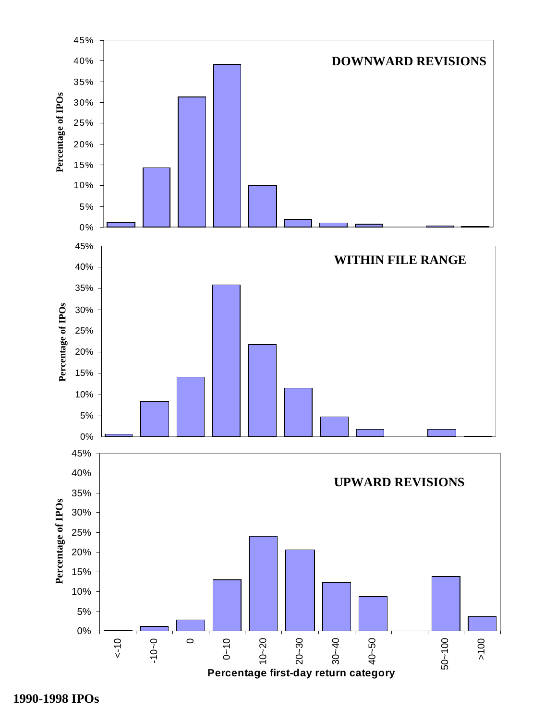

**1990-1998 IPOs**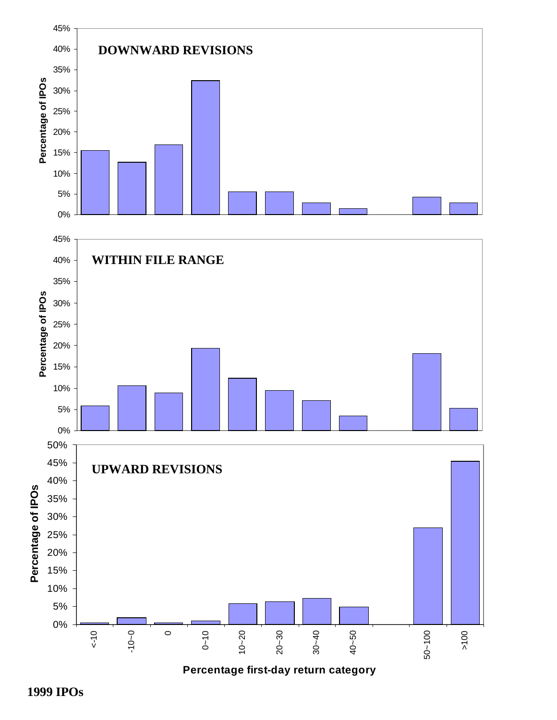

**Percentage first-day return category**

 **1999 IPOs**